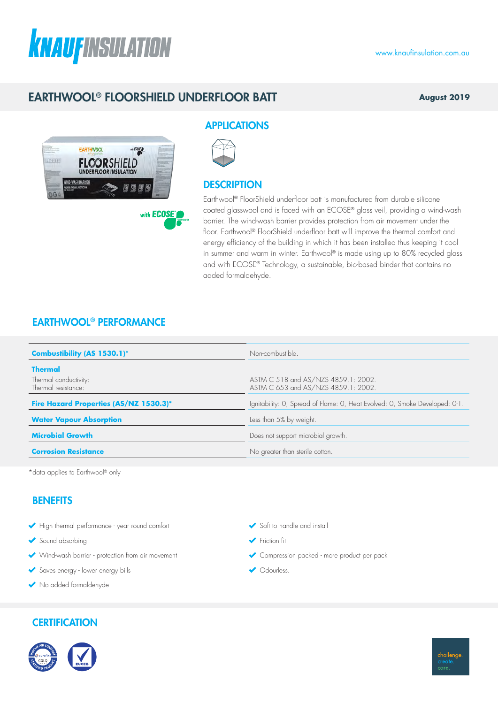# **KNAUFINSULATION**

# EARTHWOOL® FLOORSHIELD UNDERFLOOR BATT

**August 2019**



## APPLICATIONS



### **DESCRIPTION**

Earthwool® FloorShield underfloor batt is manufactured from durable silicone coated glasswool and is faced with an ECOSE® glass veil, providing a wind-wash barrier. The wind-wash barrier provides protection from air movement under the floor. Earthwool® FloorShield underfloor batt will improve the thermal comfort and energy efficiency of the building in which it has been installed thus keeping it cool in summer and warm in winter. Earthwool<sup>®</sup> is made using up to 80% recycled glass and with ECOSE® Technology, a sustainable, bio-based binder that contains no added formaldehyde.

## EARTHWOOL® PERFORMANCE

| Combustibility (AS 1530.1)*                  | Non-combustible.                                                            |  |  |
|----------------------------------------------|-----------------------------------------------------------------------------|--|--|
| <b>Thermal</b>                               |                                                                             |  |  |
| Thermal conductivity:<br>Thermal resistance: | ASTM C 518 and AS/NZS 4859.1: 2002.<br>ASTM C 653 and AS/NZS 4859.1: 2002.  |  |  |
| Fire Hazard Properties (AS/NZ 1530.3)*       | Ignitability: O, Spread of Flame: O, Heat Evolved: O, Smoke Developed: O-1. |  |  |
| <b>Water Vapour Absorption</b>               | Less than 5% by weight.                                                     |  |  |
| <b>Microbial Growth</b>                      | Does not support microbial growth.                                          |  |  |
| <b>Corrosion Resistance</b>                  | No greater than sterile cotton.                                             |  |  |

Soft to handle and install

Compression packed - more product per pack

← Friction fit

Odourless.

\*data applies to Earthwool® only

## **BENEFITS**

- High thermal performance year round comfort
- Sound absorbing
- Wind-wash barrier protection from air movement
- Saves energy lower energy bills
- No added formaldehyde

## **CERTIFICATION**



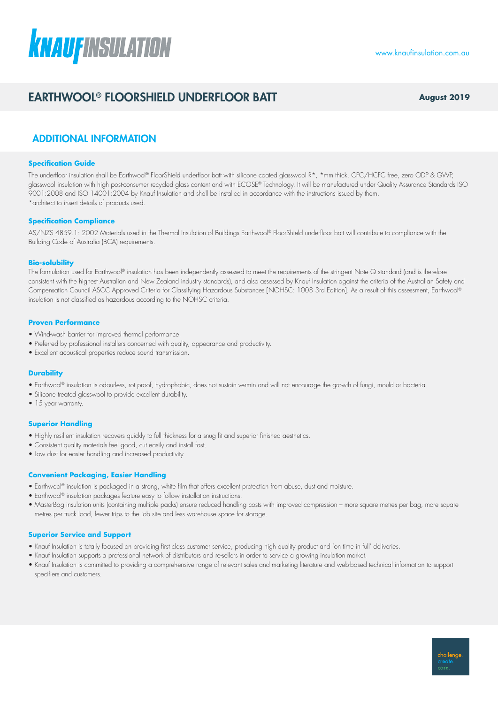# **KNAUFINSULATION**

# EARTHWOOL® FLOORSHIELD UNDERFLOOR BATT **August 2019**

## ADDITIONAL INFORMATION

#### **Specification Guide**

The underfloor insulation shall be Earthwool® FloorShield underfloor batt with silicone coated glasswool R\*, \*mm thick. CFC/HCFC free, zero ODP & GWP, glasswool insulation with high post-consumer recycled glass content and with ECOSE® Technology. It will be manufactured under Quality Assurance Standards ISO 9001:2008 and ISO 14001:2004 by Knauf Insulation and shall be installed in accordance with the instructions issued by them. \*architect to insert details of products used.

#### **Specification Compliance**

AS/NZS 4859.1: 2002 Materials used in the Thermal Insulation of Buildings Earthwool® FloorShield underfloor batt will contribute to compliance with the Building Code of Australia (BCA) requirements.

#### **Bio-solubility**

The formulation used for Earthwool® insulation has been independently assessed to meet the requirements of the stringent Note Q standard (and is therefore consistent with the highest Australian and New Zealand industry standards), and also assessed by Knauf Insulation against the criteria of the Australian Safety and Compensation Council ASCC Approved Criteria for Classifying Hazardous Substances [NOHSC: 1008 3rd Edition]. As a result of this assessment, Earthwool® insulation is not classified as hazardous according to the NOHSC criteria.

#### **Proven Performance**

- Wind-wash barrier for improved thermal performance.
- Preferred by professional installers concerned with quality, appearance and productivity.
- Excellent acoustical properties reduce sound transmission.

#### **Durability**

- Earthwool® insulation is odourless, rot proof, hydrophobic, does not sustain vermin and will not encourage the growth of fungi, mould or bacteria.
- Silicone treated glasswool to provide excellent durability.
- 15 year warranty.

#### **Superior Handling**

- Highly resilient insulation recovers quickly to full thickness for a snug fit and superior finished aesthetics.
- Consistent quality materials feel good, cut easily and install fast.
- Low dust for easier handling and increased productivity.

#### **Convenient Packaging, Easier Handling**

- Earthwool® insulation is packaged in a strong, white film that offers excellent protection from abuse, dust and moisture.
- Earthwool® insulation packages feature easy to follow installation instructions.
- MasterBag insulation units (containing multiple packs) ensure reduced handling costs with improved compression more square metres per bag, more square metres per truck load, fewer trips to the job site and less warehouse space for storage.

#### **Superior Service and Support**

- Knauf Insulation is totally focused on providing first class customer service, producing high quality product and 'on time in full' deliveries.
- Knauf Insulation supports a professional network of distributors and re-sellers in order to service a growing insulation market.
- Knauf Insulation is committed to providing a comprehensive range of relevant sales and marketing literature and web-based technical information to support specifiers and customers.